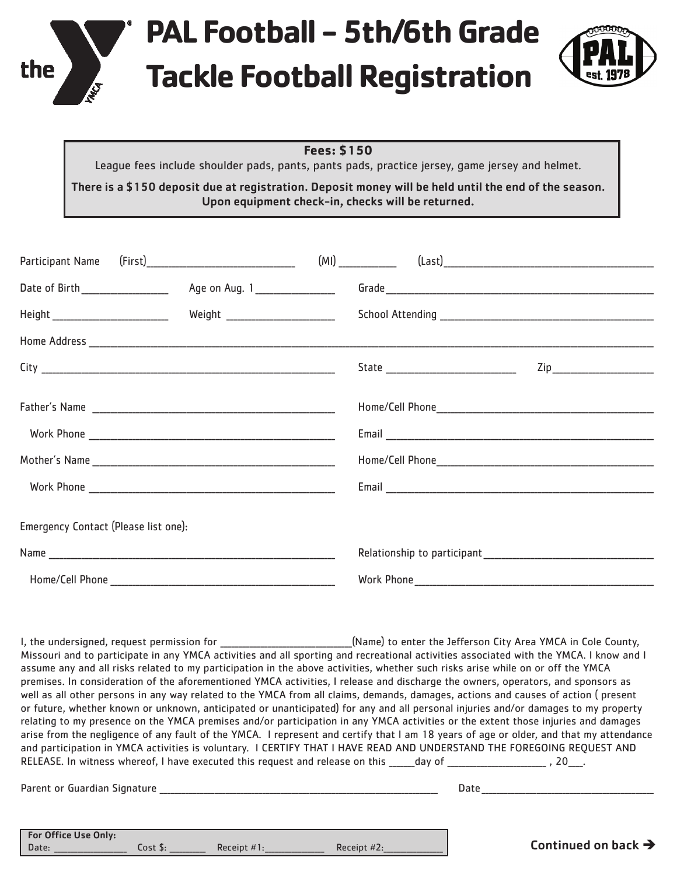

## **PAL Football - 5th/6th Grade Tackle Football Registration**



## **Fees: \$150**

League fees include shoulder pads, pants, pants pads, practice jersey, game jersey and helmet.

There is a \$150 deposit due at registration. Deposit money will be held until the end of the season. Upon equipment check-in, checks will be returned.

|                                      | Age on Aug. 1__________________     |  |                                 |  |
|--------------------------------------|-------------------------------------|--|---------------------------------|--|
|                                      | Weight ____________________________ |  |                                 |  |
|                                      |                                     |  |                                 |  |
|                                      |                                     |  | Zip____________________________ |  |
|                                      |                                     |  |                                 |  |
|                                      |                                     |  |                                 |  |
|                                      |                                     |  |                                 |  |
|                                      |                                     |  |                                 |  |
| Emergency Contact (Please list one): |                                     |  |                                 |  |
|                                      |                                     |  |                                 |  |
|                                      |                                     |  |                                 |  |

I, the undersigned, request permission for \_\_\_\_\_\_\_\_\_\_\_\_\_\_\_\_\_\_\_\_\_\_\_\_\_\_\_\_(Name) to enter the Jefferson City Area YMCA in Cole County, Missouri and to participate in any YMCA activities and all sporting and recreational activities associated with the YMCA. I know and I assume any and all risks related to my participation in the above activities, whether such risks arise while on or off the YMCA premises. In consideration of the aforementioned YMCA activities, I release and discharge the owners, operators, and sponsors as well as all other persons in any way related to the YMCA from all claims, demands, damages, actions and causes of action ( present or future, whether known or unknown, anticipated or unanticipated) for any and all personal injuries and/or damages to my property relating to my presence on the YMCA premises and/or participation in any YMCA activities or the extent those injuries and damages arise from the negligence of any fault of the YMCA. I represent and certify that I am 18 years of age or older, and that my attendance and participation in YMCA activities is voluntary. I CERTIFY THAT I HAVE READ AND UNDERSTAND THE FOREGOING REQUEST AND RELEASE. In witness whereof, I have executed this request and release on this \_\_\_\_\_day of \_\_\_\_\_\_\_\_\_\_\_\_\_\_\_\_\_\_\_\_, 20\_\_\_.

Parent or Guardian Signature \_\_\_\_\_\_\_\_\_\_\_\_\_\_\_\_\_\_\_\_\_\_\_\_\_\_\_\_\_\_\_\_\_\_\_\_\_\_\_\_\_\_\_\_\_\_\_\_\_\_\_\_\_\_\_\_\_\_\_\_\_\_\_\_\_\_\_\_\_\_\_\_\_\_\_\_ Date \_\_\_\_\_\_\_\_\_\_\_\_\_\_\_\_\_\_\_\_\_\_\_\_\_\_\_\_\_\_\_\_\_\_\_\_\_\_\_\_\_\_\_\_\_\_\_